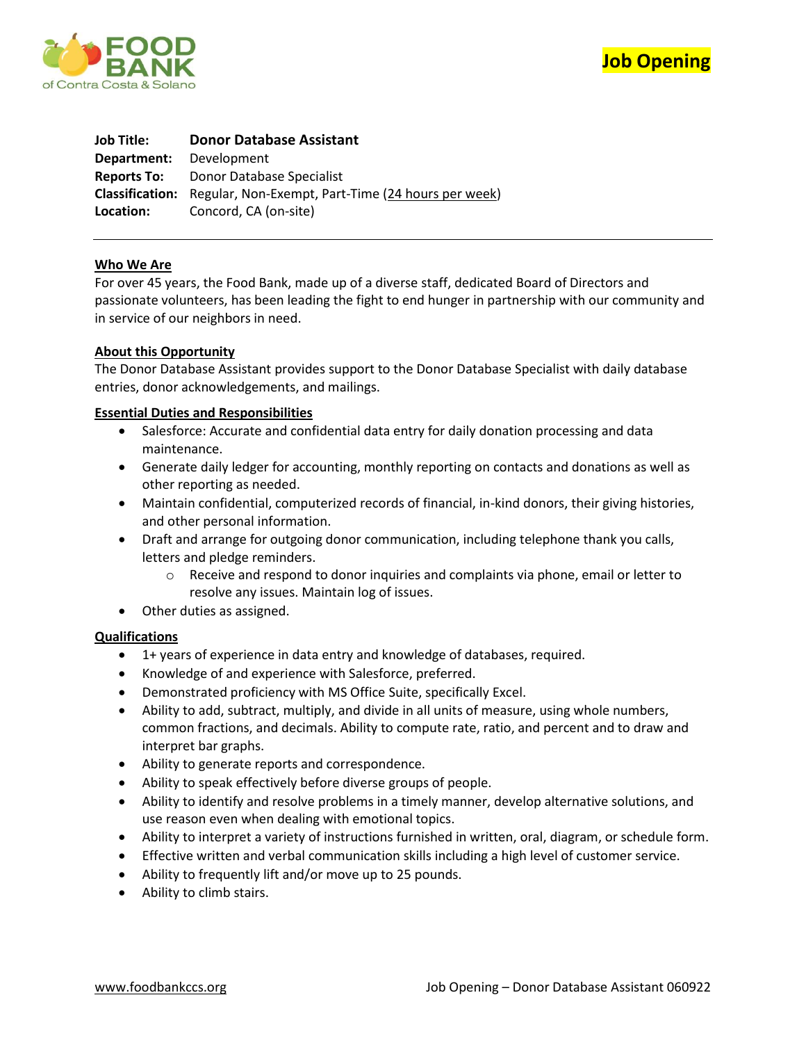



**Job Title: Donor Database Assistant Department:** Development **Reports To:** Donor Database Specialist **Classification:** Regular, Non-Exempt, Part-Time (24 hours per week) **Location:** Concord, CA (on-site)

# **Who We Are**

For over 45 years, the Food Bank, made up of a diverse staff, dedicated Board of Directors and passionate volunteers, has been leading the fight to end hunger in partnership with our community and in service of our neighbors in need.

# **About this Opportunity**

The Donor Database Assistant provides support to the Donor Database Specialist with daily database entries, donor acknowledgements, and mailings.

# **Essential Duties and Responsibilities**

- Salesforce: Accurate and confidential data entry for daily donation processing and data maintenance.
- Generate daily ledger for accounting, monthly reporting on contacts and donations as well as other reporting as needed.
- Maintain confidential, computerized records of financial, in-kind donors, their giving histories, and other personal information.
- Draft and arrange for outgoing donor communication, including telephone thank you calls, letters and pledge reminders.
	- o Receive and respond to donor inquiries and complaints via phone, email or letter to resolve any issues. Maintain log of issues.
- Other duties as assigned.

## **Qualifications**

- 1+ years of experience in data entry and knowledge of databases, required.
- Knowledge of and experience with Salesforce, preferred.
- Demonstrated proficiency with MS Office Suite, specifically Excel.
- Ability to add, subtract, multiply, and divide in all units of measure, using whole numbers, common fractions, and decimals. Ability to compute rate, ratio, and percent and to draw and interpret bar graphs.
- Ability to generate reports and correspondence.
- Ability to speak effectively before diverse groups of people.
- Ability to identify and resolve problems in a timely manner, develop alternative solutions, and use reason even when dealing with emotional topics.
- Ability to interpret a variety of instructions furnished in written, oral, diagram, or schedule form.
- Effective written and verbal communication skills including a high level of customer service.
- Ability to frequently lift and/or move up to 25 pounds.
- Ability to climb stairs.